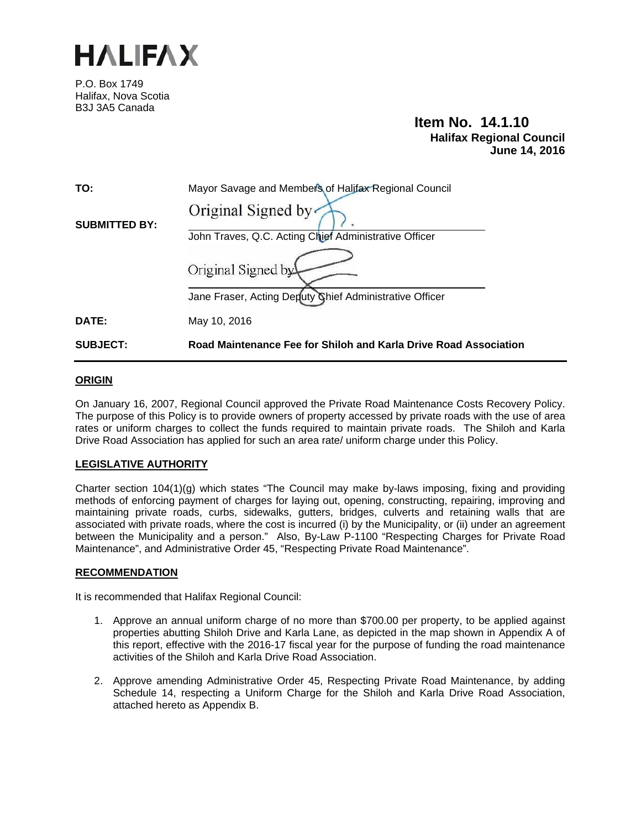

P.O. Box 1749 Halifax, Nova Scotia B3J 3A5 Canada

**Item No. 14.1.10 Halifax Regional Council June 14, 2016** 

| <b>SUBJECT:</b>      | Road Maintenance Fee for Shiloh and Karla Drive Road Association |  |
|----------------------|------------------------------------------------------------------|--|
| DATE:                | May 10, 2016                                                     |  |
|                      | Jane Fraser, Acting Deputy Chief Administrative Officer          |  |
|                      | Original Signed by                                               |  |
|                      | John Traves, Q.C. Acting Chief Administrative Officer            |  |
| <b>SUBMITTED BY:</b> | Original Signed by                                               |  |
| TO:                  | Mayor Savage and Members of Halifax Regional Council             |  |

### **ORIGIN**

On January 16, 2007, Regional Council approved the Private Road Maintenance Costs Recovery Policy. The purpose of this Policy is to provide owners of property accessed by private roads with the use of area rates or uniform charges to collect the funds required to maintain private roads. The Shiloh and Karla Drive Road Association has applied for such an area rate/ uniform charge under this Policy.

### **LEGISLATIVE AUTHORITY**

Charter section 104(1)(g) which states "The Council may make by-laws imposing, fixing and providing methods of enforcing payment of charges for laying out, opening, constructing, repairing, improving and maintaining private roads, curbs, sidewalks, gutters, bridges, culverts and retaining walls that are associated with private roads, where the cost is incurred (i) by the Municipality, or (ii) under an agreement between the Municipality and a person." Also, By-Law P-1100 "Respecting Charges for Private Road Maintenance", and Administrative Order 45, "Respecting Private Road Maintenance".

### **RECOMMENDATION**

It is recommended that Halifax Regional Council:

- 1. Approve an annual uniform charge of no more than \$700.00 per property, to be applied against properties abutting Shiloh Drive and Karla Lane, as depicted in the map shown in Appendix A of this report, effective with the 2016-17 fiscal year for the purpose of funding the road maintenance activities of the Shiloh and Karla Drive Road Association.
- 2. Approve amending Administrative Order 45, Respecting Private Road Maintenance, by adding Schedule 14, respecting a Uniform Charge for the Shiloh and Karla Drive Road Association, attached hereto as Appendix B.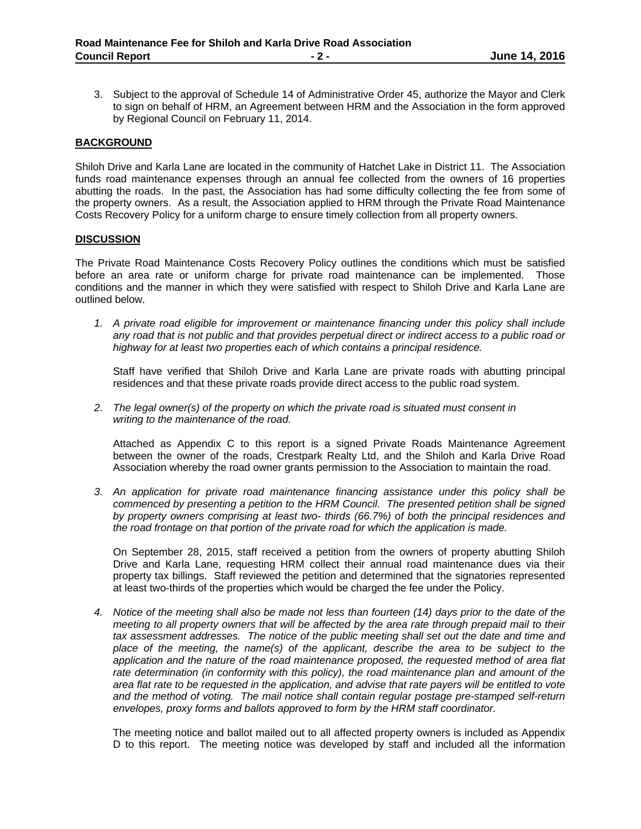3. Subject to the approval of Schedule 14 of Administrative Order 45, authorize the Mayor and Clerk to sign on behalf of HRM, an Agreement between HRM and the Association in the form approved by Regional Council on February 11, 2014.

### **BACKGROUND**

Shiloh Drive and Karla Lane are located in the community of Hatchet Lake in District 11. The Association funds road maintenance expenses through an annual fee collected from the owners of 16 properties abutting the roads. In the past, the Association has had some difficulty collecting the fee from some of the property owners. As a result, the Association applied to HRM through the Private Road Maintenance Costs Recovery Policy for a uniform charge to ensure timely collection from all property owners.

#### **DISCUSSION**

The Private Road Maintenance Costs Recovery Policy outlines the conditions which must be satisfied before an area rate or uniform charge for private road maintenance can be implemented. Those conditions and the manner in which they were satisfied with respect to Shiloh Drive and Karla Lane are outlined below.

*1. A private road eligible for improvement or maintenance financing under this policy shall include any road that is not public and that provides perpetual direct or indirect access to a public road or highway for at least two properties each of which contains a principal residence.*

Staff have verified that Shiloh Drive and Karla Lane are private roads with abutting principal residences and that these private roads provide direct access to the public road system.

*2. The legal owner(s) of the property on which the private road is situated must consent in writing to the maintenance of the road.*

Attached as Appendix C to this report is a signed Private Roads Maintenance Agreement between the owner of the roads, Crestpark Realty Ltd, and the Shiloh and Karla Drive Road Association whereby the road owner grants permission to the Association to maintain the road.

*3. An application for private road maintenance financing assistance under this policy shall be commenced by presenting a petition to the HRM Council. The presented petition shall be signed by property owners comprising at least two- thirds (66.7%) of both the principal residences and the road frontage on that portion of the private road for which the application is made.*

On September 28, 2015, staff received a petition from the owners of property abutting Shiloh Drive and Karla Lane, requesting HRM collect their annual road maintenance dues via their property tax billings. Staff reviewed the petition and determined that the signatories represented at least two-thirds of the properties which would be charged the fee under the Policy.

*4. Notice of the meeting shall also be made not less than fourteen (14) days prior to the date of the meeting to all property owners that will be affected by the area rate through prepaid mail to their tax assessment addresses. The notice of the public meeting shall set out the date and time and place of the meeting, the name(s) of the applicant, describe the area to be subject to the application and the nature of the road maintenance proposed, the requested method of area flat rate determination (in conformity with this policy), the road maintenance plan and amount of the area flat rate to be requested in the application, and advise that rate payers will be entitled to vote and the method of voting. The mail notice shall contain regular postage pre-stamped self-return envelopes, proxy forms and ballots approved to form by the HRM staff coordinator.*

The meeting notice and ballot mailed out to all affected property owners is included as Appendix D to this report. The meeting notice was developed by staff and included all the information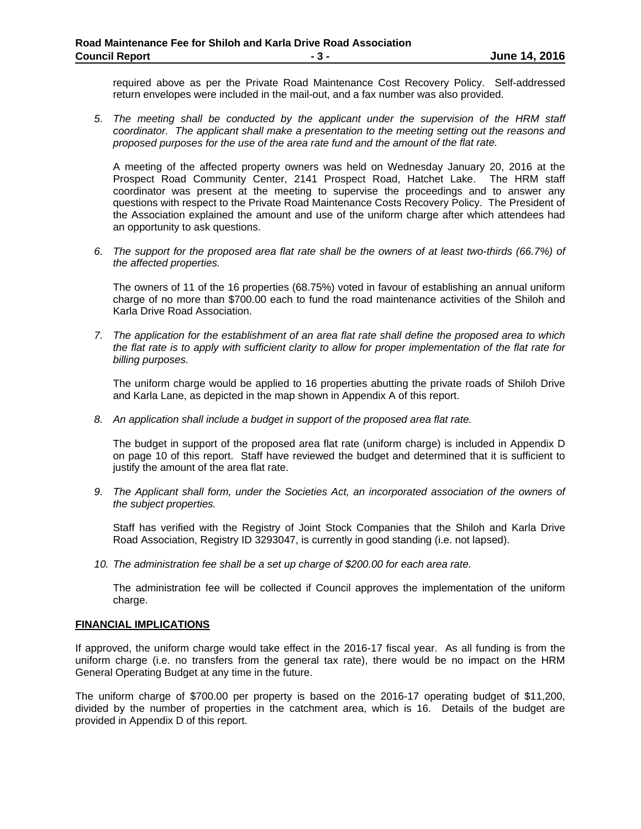required above as per the Private Road Maintenance Cost Recovery Policy. Self-addressed return envelopes were included in the mail-out, and a fax number was also provided.

*5. The meeting shall be conducted by the applicant under the supervision of the HRM staff coordinator. The applicant shall make a presentation to the meeting setting out the reasons and proposed purposes for the use of the area rate fund and the amount of the flat rate.*

A meeting of the affected property owners was held on Wednesday January 20, 2016 at the Prospect Road Community Center, 2141 Prospect Road, Hatchet Lake. The HRM staff coordinator was present at the meeting to supervise the proceedings and to answer any questions with respect to the Private Road Maintenance Costs Recovery Policy. The President of the Association explained the amount and use of the uniform charge after which attendees had an opportunity to ask questions.

*6. The support for the proposed area flat rate shall be the owners of at least two-thirds (66.7%) of the affected properties.*

The owners of 11 of the 16 properties (68.75%) voted in favour of establishing an annual uniform charge of no more than \$700.00 each to fund the road maintenance activities of the Shiloh and Karla Drive Road Association.

*7. The application for the establishment of an area flat rate shall define the proposed area to which the flat rate is to apply with sufficient clarity to allow for proper implementation of the flat rate for billing purposes.*

The uniform charge would be applied to 16 properties abutting the private roads of Shiloh Drive and Karla Lane, as depicted in the map shown in Appendix A of this report.

*8. An application shall include a budget in support of the proposed area flat rate.*

The budget in support of the proposed area flat rate (uniform charge) is included in Appendix D on page 10 of this report. Staff have reviewed the budget and determined that it is sufficient to justify the amount of the area flat rate.

*9. The Applicant shall form, under the Societies Act, an incorporated association of the owners of the subject properties.*

Staff has verified with the Registry of Joint Stock Companies that the Shiloh and Karla Drive Road Association, Registry ID 3293047, is currently in good standing (i.e. not lapsed).

*10. The administration fee shall be a set up charge of \$200.00 for each area rate.*

The administration fee will be collected if Council approves the implementation of the uniform charge.

### **FINANCIAL IMPLICATIONS**

If approved, the uniform charge would take effect in the 2016-17 fiscal year. As all funding is from the uniform charge (i.e. no transfers from the general tax rate), there would be no impact on the HRM General Operating Budget at any time in the future.

The uniform charge of \$700.00 per property is based on the 2016-17 operating budget of \$11,200, divided by the number of properties in the catchment area, which is 16. Details of the budget are provided in Appendix D of this report.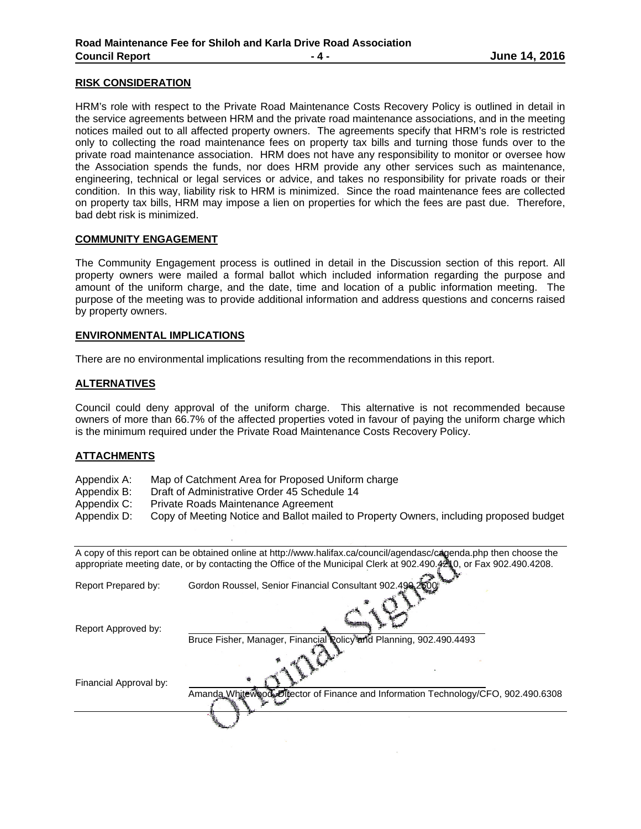#### **RISK CONSIDERATION**

HRM's role with respect to the Private Road Maintenance Costs Recovery Policy is outlined in detail in the service agreements between HRM and the private road maintenance associations, and in the meeting notices mailed out to all affected property owners. The agreements specify that HRM's role is restricted only to collecting the road maintenance fees on property tax bills and turning those funds over to the private road maintenance association. HRM does not have any responsibility to monitor or oversee how the Association spends the funds, nor does HRM provide any other services such as maintenance, engineering, technical or legal services or advice, and takes no responsibility for private roads or their condition. In this way, liability risk to HRM is minimized. Since the road maintenance fees are collected on property tax bills, HRM may impose a lien on properties for which the fees are past due. Therefore, bad debt risk is minimized.

#### **COMMUNITY ENGAGEMENT**

The Community Engagement process is outlined in detail in the Discussion section of this report. All property owners were mailed a formal ballot which included information regarding the purpose and amount of the uniform charge, and the date, time and location of a public information meeting. The purpose of the meeting was to provide additional information and address questions and concerns raised by property owners.

#### **ENVIRONMENTAL IMPLICATIONS**

There are no environmental implications resulting from the recommendations in this report.

### **ALTERNATIVES**

Council could deny approval of the uniform charge. This alternative is not recommended because owners of more than 66.7% of the affected properties voted in favour of paying the uniform charge which is the minimum required under the Private Road Maintenance Costs Recovery Policy.

### **ATTACHMENTS**

- Appendix A: Map of Catchment Area for Proposed Uniform charge
- Appendix B: Draft of Administrative Order 45 Schedule 14
- Appendix C: Private Roads Maintenance Agreement
- Appendix D: Copy of Meeting Notice and Ballot mailed to Property Owners, including proposed budget

| A copy of this report can be obtained online at http://www.halifax.ca/council/agendasc/cagenda.php then choose the |                                                                                   |  |  |  |
|--------------------------------------------------------------------------------------------------------------------|-----------------------------------------------------------------------------------|--|--|--|
| appropriate meeting date, or by contacting the Office of the Municipal Clerk at 902.490.4210, or Fax 902.490.4208. |                                                                                   |  |  |  |
| Report Prepared by:                                                                                                | Gordon Roussel, Senior Financial Consultant 902.490 2500                          |  |  |  |
| Report Approved by:                                                                                                |                                                                                   |  |  |  |
|                                                                                                                    | Bruce Fisher, Manager, Financial Rolicy and Planning, 902.490.4493                |  |  |  |
| Financial Approval by:                                                                                             |                                                                                   |  |  |  |
|                                                                                                                    | Amanda Whitewood Eliector of Finance and Information Technology/CFO, 902.490.6308 |  |  |  |
|                                                                                                                    |                                                                                   |  |  |  |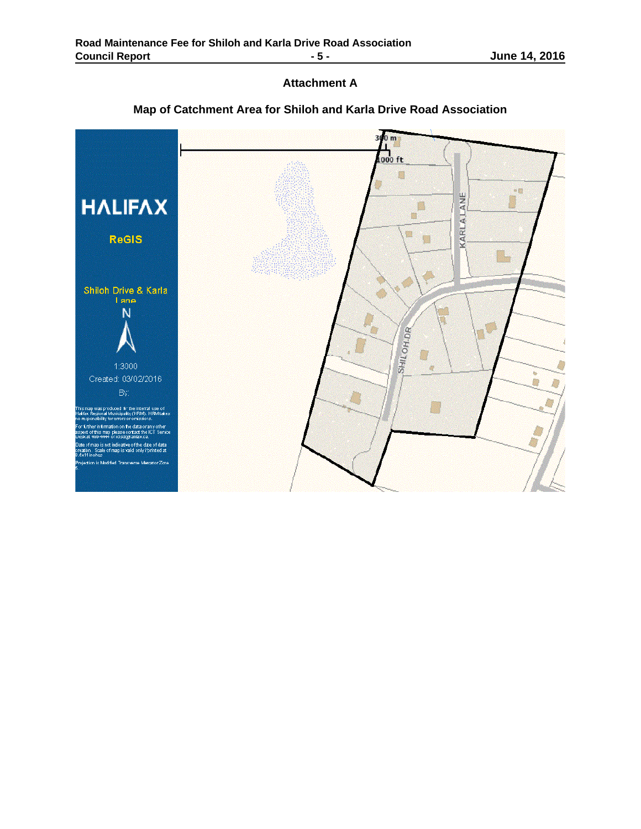# **Attachment A**



## **Map of Catchment Area for Shiloh and Karla Drive Road Association**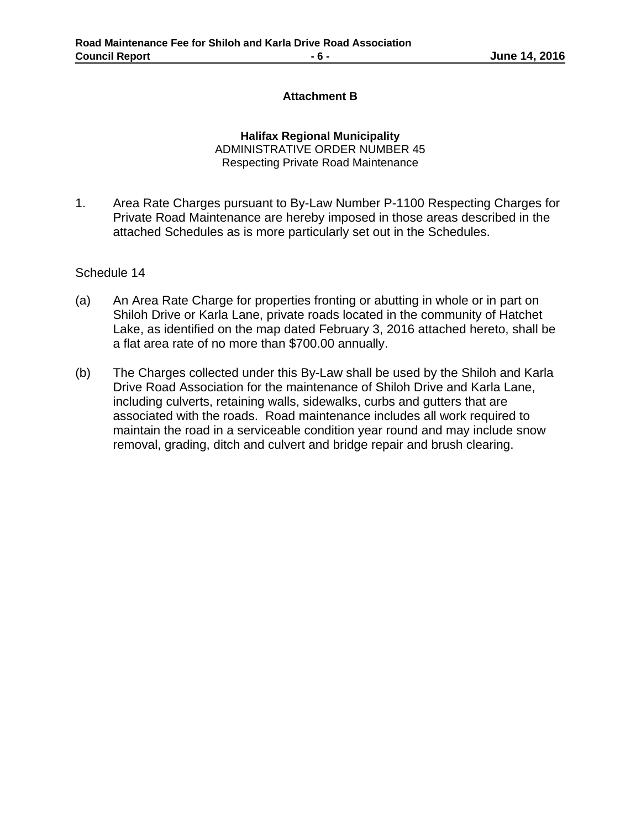## **Attachment B**

**Halifax Regional Municipality** ADMINISTRATIVE ORDER NUMBER 45 Respecting Private Road Maintenance

1. Area Rate Charges pursuant to By-Law Number P-1100 Respecting Charges for Private Road Maintenance are hereby imposed in those areas described in the attached Schedules as is more particularly set out in the Schedules.

Schedule 14

- (a) An Area Rate Charge for properties fronting or abutting in whole or in part on Shiloh Drive or Karla Lane, private roads located in the community of Hatchet Lake, as identified on the map dated February 3, 2016 attached hereto, shall be a flat area rate of no more than \$700.00 annually.
- (b) The Charges collected under this By-Law shall be used by the Shiloh and Karla Drive Road Association for the maintenance of Shiloh Drive and Karla Lane, including culverts, retaining walls, sidewalks, curbs and gutters that are associated with the roads. Road maintenance includes all work required to maintain the road in a serviceable condition year round and may include snow removal, grading, ditch and culvert and bridge repair and brush clearing.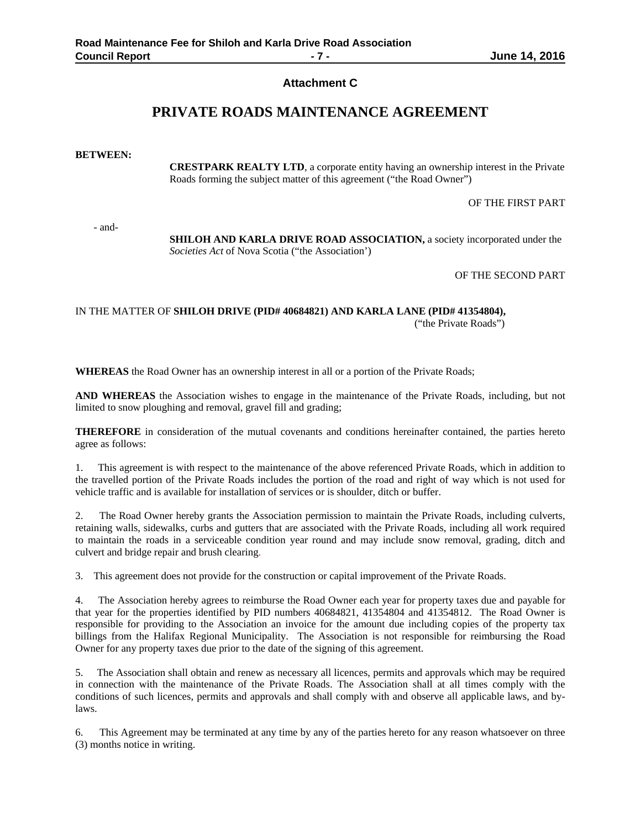### **Attachment C**

## **PRIVATE ROADS MAINTENANCE AGREEMENT**

#### **BETWEEN:**

**CRESTPARK REALTY LTD**, a corporate entity having an ownership interest in the Private Roads forming the subject matter of this agreement ("the Road Owner")

OF THE FIRST PART

- and-

**SHILOH AND KARLA DRIVE ROAD ASSOCIATION,** a society incorporated under the *Societies Act* of Nova Scotia ("the Association')

OF THE SECOND PART

IN THE MATTER OF **SHILOH DRIVE (PID# 40684821) AND KARLA LANE (PID# 41354804),** ("the Private Roads")

**WHEREAS** the Road Owner has an ownership interest in all or a portion of the Private Roads;

**AND WHEREAS** the Association wishes to engage in the maintenance of the Private Roads, including, but not limited to snow ploughing and removal, gravel fill and grading;

**THEREFORE** in consideration of the mutual covenants and conditions hereinafter contained, the parties hereto agree as follows:

1. This agreement is with respect to the maintenance of the above referenced Private Roads, which in addition to the travelled portion of the Private Roads includes the portion of the road and right of way which is not used for vehicle traffic and is available for installation of services or is shoulder, ditch or buffer.

2. The Road Owner hereby grants the Association permission to maintain the Private Roads, including culverts, retaining walls, sidewalks, curbs and gutters that are associated with the Private Roads, including all work required to maintain the roads in a serviceable condition year round and may include snow removal, grading, ditch and culvert and bridge repair and brush clearing.

3. This agreement does not provide for the construction or capital improvement of the Private Roads.

4. The Association hereby agrees to reimburse the Road Owner each year for property taxes due and payable for that year for the properties identified by PID numbers 40684821, 41354804 and 41354812. The Road Owner is responsible for providing to the Association an invoice for the amount due including copies of the property tax billings from the Halifax Regional Municipality. The Association is not responsible for reimbursing the Road Owner for any property taxes due prior to the date of the signing of this agreement.

5. The Association shall obtain and renew as necessary all licences, permits and approvals which may be required in connection with the maintenance of the Private Roads. The Association shall at all times comply with the conditions of such licences, permits and approvals and shall comply with and observe all applicable laws, and bylaws.

6. This Agreement may be terminated at any time by any of the parties hereto for any reason whatsoever on three (3) months notice in writing.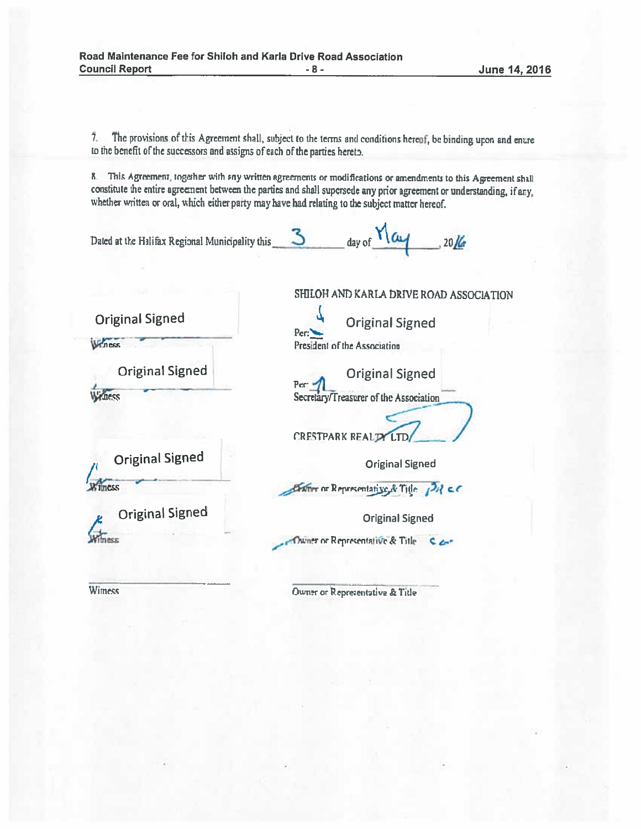The provisions of this Agreement shall, subject to the terms and conditions hereof, be binding upon and enure  $7$ to the benefit of the successors and assigns of each of the parties hereto.

8. This Agreement, together with sny written agreements or modifications or amendments to this Agreement shall constitute the entire agreement between the parties and shall supersede any prior agreement or understanding, if any, whether written or oral, which either party may have had relating to the subject matter hereof.

 $3$  day of  $\frac{1}{\alpha}$  2016 Dated at the Halifax Regional Municipality this

|                        | SHILOH AND KARLA DRIVE ROAD ASSOCIATION                     |  |
|------------------------|-------------------------------------------------------------|--|
| <b>Original Signed</b> | <b>Original Signed</b><br>Per:                              |  |
| Winess                 | President of the Association                                |  |
| <b>Original Signed</b> | <b>Original Signed</b><br>Per:                              |  |
| ness                   | Secretary/Treasurer of the Association<br>CRESTPARK REAL TY |  |
| <b>Original Signed</b> | <b>Original Signed</b>                                      |  |
| mess                   | Exter or Representative & Title PH CC                       |  |
| <b>Original Signed</b> | <b>Original Signed</b>                                      |  |
|                        | Dwner or Representative & Title $C \rightarrow C$           |  |
|                        |                                                             |  |

Owner or Representative & Title

Wimess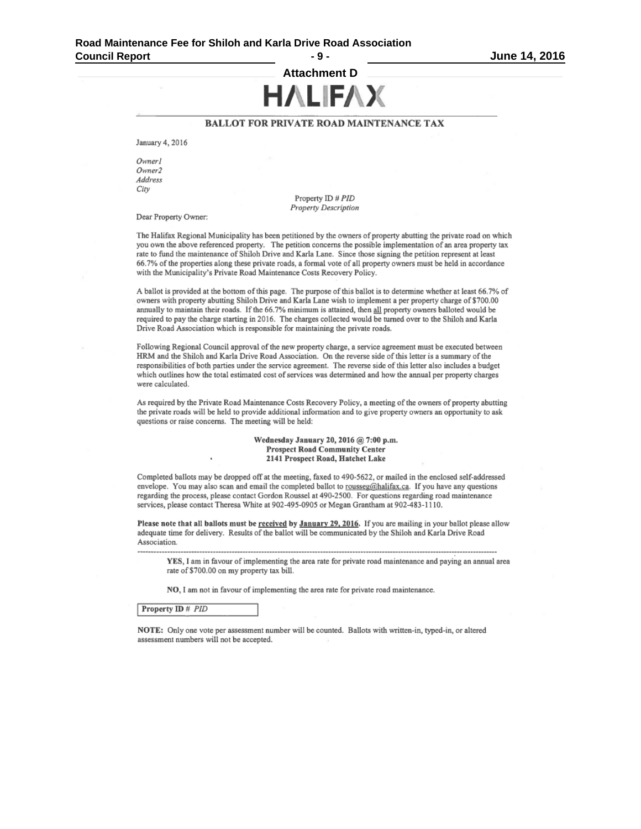**Attachment D HALIFAX** 

#### **BALLOT FOR PRIVATE ROAD MAINTENANCE TAX**

January 4, 2016

Owner1 Owner<sub>2</sub> Address City

> Property ID # PID **Property Description**

Dear Property Owner:

The Halifax Regional Municipality has been petitioned by the owners of property abutting the private road on which you own the above referenced property. The petition concerns the possible implementation of an area property tax rate to fund the maintenance of Shiloh Drive and Karla Lane. Since those signing the petition represent at least 66.7% of the properties along these private roads, a formal vote of all property owners must be held in accordance with the Municipality's Private Road Maintenance Costs Recovery Policy.

A ballot is provided at the bottom of this page. The purpose of this ballot is to determine whether at least 66.7% of owners with property abutting Shiloh Drive and Karla Lane wish to implement a per property charge of \$700.00 annually to maintain their roads. If the 66.7% minimum is attained, then all property owners balloted would be required to pay the charge starting in 2016. The charges collected would be turned over to the Shiloh and Karla Drive Road Association which is responsible for maintaining the private roads.

Following Regional Council approval of the new property charge, a service agreement must be executed between HRM and the Shiloh and Karla Drive Road Association. On the reverse side of this letter is a summary of the responsibilities of both parties under the service agreement. The reverse side of this letter also includes a budget which outlines how the total estimated cost of services was determined and how the annual per property charges were calculated.

As required by the Private Road Maintenance Costs Recovery Policy, a meeting of the owners of property abutting the private roads will be held to provide additional information and to give property owners an opportunity to ask questions or raise concerns. The meeting will be held:

> Wednesday January 20, 2016 @ 7:00 p.m. **Prospect Road Community Center** 2141 Prospect Road, Hatchet Lake

Completed ballots may be dropped off at the meeting, faxed to 490-5622, or mailed in the enclosed self-addressed envelope. You may also scan and email the completed ballot to rousseg@halifax.ca. If you have any questions regarding the process, please contact Gordon Roussel at 490-2500. For questions regarding road maintenance services, please contact Theresa White at 902-495-0905 or Megan Grantham at 902-483-1110.

Please note that all ballots must be received by January 29, 2016. If you are mailing in your ballot please allow adequate time for delivery. Results of the ballot will be communicated by the Shiloh and Karla Drive Road Association.

YES, I am in favour of implementing the area rate for private road maintenance and paying an annual area rate of \$700.00 on my property tax bill.

NO, I am not in favour of implementing the area rate for private road maintenance.

#### Property ID # PID

NOTE: Only one vote per assessment number will be counted. Ballots with written-in, typed-in, or altered assessment numbers will not be accepted.